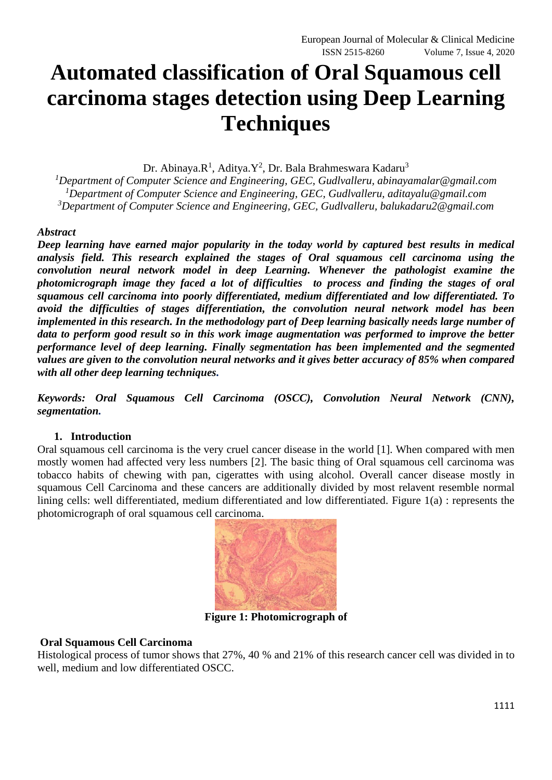# **Automated classification of Oral Squamous cell carcinoma stages detection using Deep Learning Techniques**

Dr. Abinaya.R<sup>1</sup>, Aditya.Y<sup>2</sup>, Dr. Bala Brahmeswara Kadaru<sup>3</sup>

*<sup>1</sup>Department of Computer Science and Engineering, GEC, Gudlvalleru, abinayamalar@gmail.com <sup>1</sup>Department of Computer Science and Engineering, GEC, Gudlvalleru, aditayalu@gmail.com <sup>3</sup>Department of Computer Science and Engineering, GEC, Gudlvalleru, balukadaru2@gmail.com*

# *Abstract*

*Deep learning have earned major popularity in the today world by captured best results in medical analysis field. This research explained the stages of Oral squamous cell carcinoma using the convolution neural network model in deep Learning. Whenever the pathologist examine the photomicrograph image they faced a lot of difficulties to process and finding the stages of oral squamous cell carcinoma into poorly differentiated, medium differentiated and low differentiated. To avoid the difficulties of stages differentiation, the convolution neural network model has been implemented in this research. In the methodology part of Deep learning basically needs large number of data to perform good result so in this work image augmentation was performed to improve the better performance level of deep learning. Finally segmentation has been implemented and the segmented values are given to the convolution neural networks and it gives better accuracy of 85% when compared with all other deep learning techniques.*

*Keywords: Oral Squamous Cell Carcinoma (OSCC), Convolution Neural Network (CNN), segmentation.*

#### **1. Introduction**

Oral squamous cell carcinoma is the very cruel cancer disease in the world [1]. When compared with men mostly women had affected very less numbers [2]. The basic thing of Oral squamous cell carcinoma was tobacco habits of chewing with pan, cigerattes with using alcohol. Overall cancer disease mostly in squamous Cell Carcinoma and these cancers are additionally divided by most relavent resemble normal lining cells: well differentiated, medium differentiated and low differentiated. Figure 1(a) : represents the photomicrograph of oral squamous cell carcinoma.



**Figure 1: Photomicrograph of**

#### **Oral Squamous Cell Carcinoma**

Histological process of tumor shows that 27%, 40 % and 21% of this research cancer cell was divided in to well, medium and low differentiated OSCC.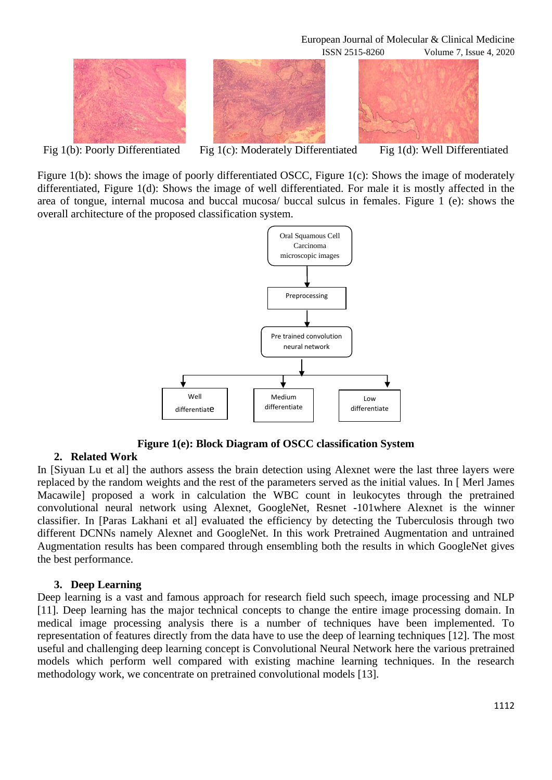European Journal of Molecular & Clinical Medicine





Fig 1(b): Poorly Differentiated Fig 1(c): Moderately Differentiated Fig 1(d): Well Differentiated

ISSN 2515-8260 Volume 7, Issue 4, 2020

Figure 1(b): shows the image of poorly differentiated OSCC, Figure 1(c): Shows the image of moderately differentiated, Figure 1(d): Shows the image of well differentiated. For male it is mostly affected in the area of tongue, internal mucosa and buccal mucosa/ buccal sulcus in females. Figure 1 (e): shows the overall architecture of the proposed classification system.



**Figure 1(e): Block Diagram of OSCC classification System**

# **2. Related Work**

In [Siyuan Lu et al] the authors assess the brain detection using Alexnet were the last three layers were replaced by the random weights and the rest of the parameters served as the initial values. In [ Merl James Macawile] proposed a work in calculation the WBC count in leukocytes through the pretrained convolutional neural network using Alexnet, GoogleNet, Resnet -101where Alexnet is the winner classifier. In [Paras Lakhani et al] evaluated the efficiency by detecting the Tuberculosis through two different DCNNs namely Alexnet and GoogleNet. In this work Pretrained Augmentation and untrained Augmentation results has been compared through ensembling both the results in which GoogleNet gives the best performance.

#### **3. Deep Learning**

Deep learning is a vast and famous approach for research field such speech, image processing and NLP [11]. Deep learning has the major technical concepts to change the entire image processing domain. In medical image processing analysis there is a number of techniques have been implemented. To representation of features directly from the data have to use the deep of learning techniques [12]. The most useful and challenging deep learning concept is Convolutional Neural Network here the various pretrained models which perform well compared with existing machine learning techniques. In the research methodology work, we concentrate on pretrained convolutional models [13].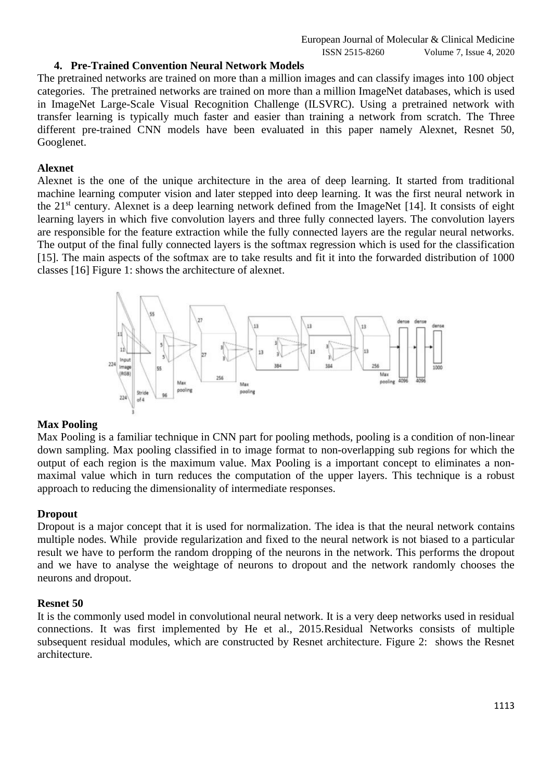# **4. Pre-Trained Convention Neural Network Models**

The pretrained networks are trained on more than a million images and can classify images into 100 object categories. The pretrained networks are trained on more than a million ImageNet databases, which is used in ImageNet Large-Scale Visual Recognition Challenge (ILSVRC). Using a pretrained network with transfer learning is typically much faster and easier than training a network from scratch. The Three different pre-trained CNN models have been evaluated in this paper namely Alexnet, Resnet 50, Googlenet.

#### **Alexnet**

Alexnet is the one of the unique architecture in the area of deep learning. It started from traditional machine learning computer vision and later stepped into deep learning. It was the first neural network in the 21st century. Alexnet is a deep learning network defined from the ImageNet [14]. It consists of eight learning layers in which five convolution layers and three fully connected layers. The convolution layers are responsible for the feature extraction while the fully connected layers are the regular neural networks. The output of the final fully connected layers is the softmax regression which is used for the classification [15]. The main aspects of the softmax are to take results and fit it into the forwarded distribution of 1000 classes [16] Figure 1: shows the architecture of alexnet.



#### **Max Pooling**

Max Pooling is a familiar technique in CNN part for pooling methods, pooling is a condition of non-linear down sampling. Max pooling classified in to image format to non-overlapping sub regions for which the output of each region is the maximum value. Max Pooling is a important concept to eliminates a nonmaximal value which in turn reduces the computation of the upper layers. This technique is a robust approach to reducing the dimensionality of intermediate responses.

#### **Dropout**

Dropout is a major concept that it is used for normalization. The idea is that the neural network contains multiple nodes. While provide regularization and fixed to the neural network is not biased to a particular result we have to perform the random dropping of the neurons in the network. This performs the dropout and we have to analyse the weightage of neurons to dropout and the network randomly chooses the neurons and dropout.

#### **Resnet 50**

It is the commonly used model in convolutional neural network. It is a very deep networks used in residual connections. It was first implemented by He et al., 2015.Residual Networks consists of multiple subsequent residual modules, which are constructed by Resnet architecture. Figure 2: shows the Resnet architecture.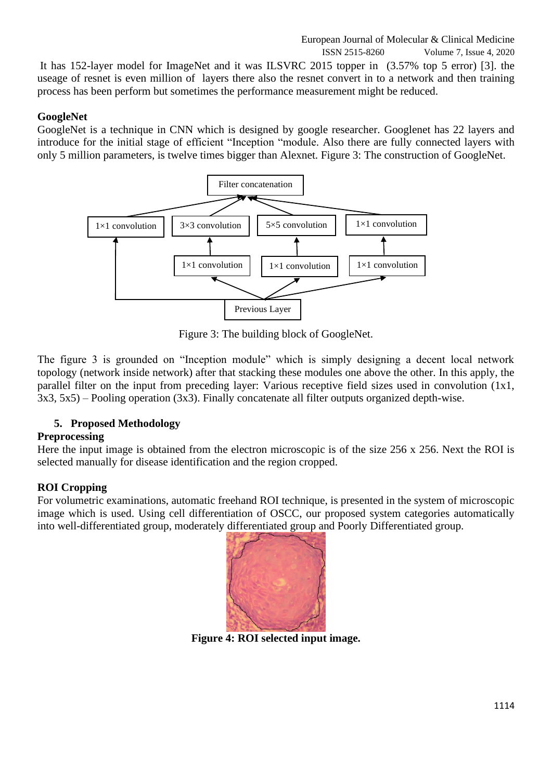# European Journal of Molecular & Clinical Medicine

ISSN 2515-8260 Volume 7, Issue 4, 2020

It has 152-layer model for ImageNet and it was ILSVRC 2015 topper in (3.57% top 5 error) [3]. the useage of resnet is even million of layers there also the resnet convert in to a network and then training process has been perform but sometimes the performance measurement might be reduced.

# **GoogleNet**

GoogleNet is a technique in CNN which is designed by google researcher. Googlenet has 22 layers and introduce for the initial stage of efficient "Inception "module. Also there are fully connected layers with only 5 million parameters, is twelve times bigger than Alexnet. Figure 3: The construction of GoogleNet.



Figure 3: The building block of GoogleNet.

The figure 3 is grounded on "Inception module" which is simply designing a decent local network topology (network inside network) after that stacking these modules one above the other. In this apply, the parallel filter on the input from preceding layer: Various receptive field sizes used in convolution (1x1, 3x3, 5x5) – Pooling operation (3x3). Finally concatenate all filter outputs organized depth-wise.

# **5. Proposed Methodology**

# **Preprocessing**

Here the input image is obtained from the electron microscopic is of the size 256 x 256. Next the ROI is selected manually for disease identification and the region cropped.

# **ROI Cropping**

For volumetric examinations, automatic freehand ROI technique, is presented in the system of microscopic image which is used. Using cell differentiation of OSCC, our proposed system categories automatically into well-differentiated group, moderately differentiated group and Poorly Differentiated group.



**Figure 4: ROI selected input image.**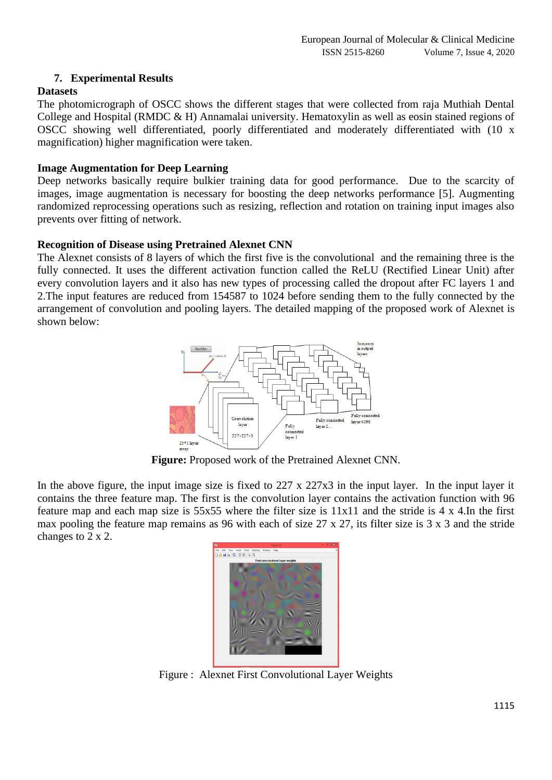# **7. Experimental Results**

## **Datasets**

The photomicrograph of OSCC shows the different stages that were collected from raja Muthiah Dental College and Hospital (RMDC & H) Annamalai university. Hematoxylin as well as eosin stained regions of OSCC showing well differentiated, poorly differentiated and moderately differentiated with (10 x magnification) higher magnification were taken.

#### **Image Augmentation for Deep Learning**

Deep networks basically require bulkier training data for good performance. Due to the scarcity of images, image augmentation is necessary for boosting the deep networks performance [5]. Augmenting randomized reprocessing operations such as resizing, reflection and rotation on training input images also prevents over fitting of network.

#### **Recognition of Disease using Pretrained Alexnet CNN**

The Alexnet consists of 8 layers of which the first five is the convolutional and the remaining three is the fully connected. It uses the different activation function called the ReLU (Rectified Linear Unit) after every convolution layers and it also has new types of processing called the dropout after FC layers 1 and 2.The input features are reduced from 154587 to 1024 before sending them to the fully connected by the arrangement of convolution and pooling layers. The detailed mapping of the proposed work of Alexnet is shown below:



**Figure:** Proposed work of the Pretrained Alexnet CNN.

In the above figure, the input image size is fixed to 227 x 227x3 in the input layer. In the input layer it contains the three feature map. The first is the convolution layer contains the activation function with 96 feature map and each map size is 55x55 where the filter size is 11x11 and the stride is 4 x 4.In the first max pooling the feature map remains as 96 with each of size 27 x 27, its filter size is 3 x 3 and the stride changes to 2 x 2.



Figure : Alexnet First Convolutional Layer Weights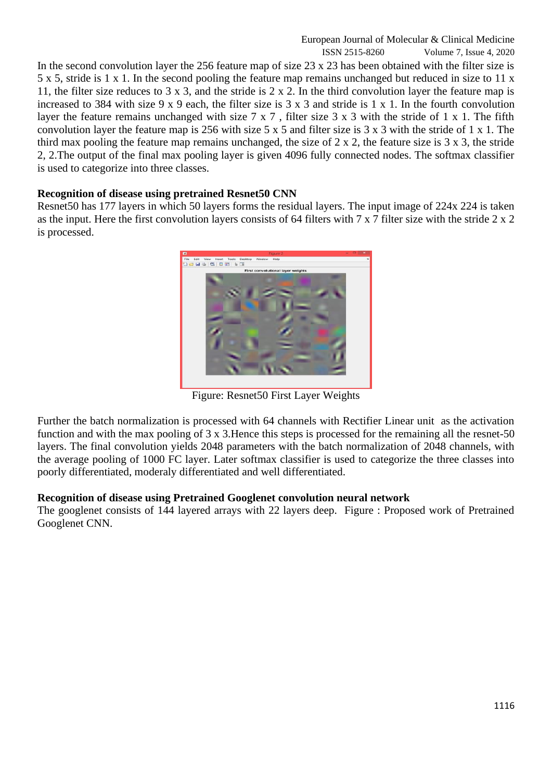In the second convolution layer the 256 feature map of size 23 x 23 has been obtained with the filter size is 5 x 5, stride is 1 x 1. In the second pooling the feature map remains unchanged but reduced in size to 11 x 11, the filter size reduces to 3 x 3, and the stride is 2 x 2. In the third convolution layer the feature map is increased to 384 with size 9 x 9 each, the filter size is 3 x 3 and stride is 1 x 1. In the fourth convolution layer the feature remains unchanged with size 7 x 7 , filter size 3 x 3 with the stride of 1 x 1. The fifth convolution layer the feature map is 256 with size 5 x 5 and filter size is 3 x 3 with the stride of 1 x 1. The third max pooling the feature map remains unchanged, the size of 2 x 2, the feature size is 3 x 3, the stride 2, 2.The output of the final max pooling layer is given 4096 fully connected nodes. The softmax classifier is used to categorize into three classes.

# **Recognition of disease using pretrained Resnet50 CNN**

Resnet50 has 177 layers in which 50 layers forms the residual layers. The input image of 224x 224 is taken as the input. Here the first convolution layers consists of 64 filters with 7 x 7 filter size with the stride 2 x 2 is processed.



Figure: Resnet50 First Layer Weights

Further the batch normalization is processed with 64 channels with Rectifier Linear unit as the activation function and with the max pooling of 3 x 3.Hence this steps is processed for the remaining all the resnet-50 layers. The final convolution yields 2048 parameters with the batch normalization of 2048 channels, with the average pooling of 1000 FC layer. Later softmax classifier is used to categorize the three classes into poorly differentiated, moderaly differentiated and well differentiated.

#### **Recognition of disease using Pretrained Googlenet convolution neural network**

The googlenet consists of 144 layered arrays with 22 layers deep. Figure : Proposed work of Pretrained Googlenet CNN.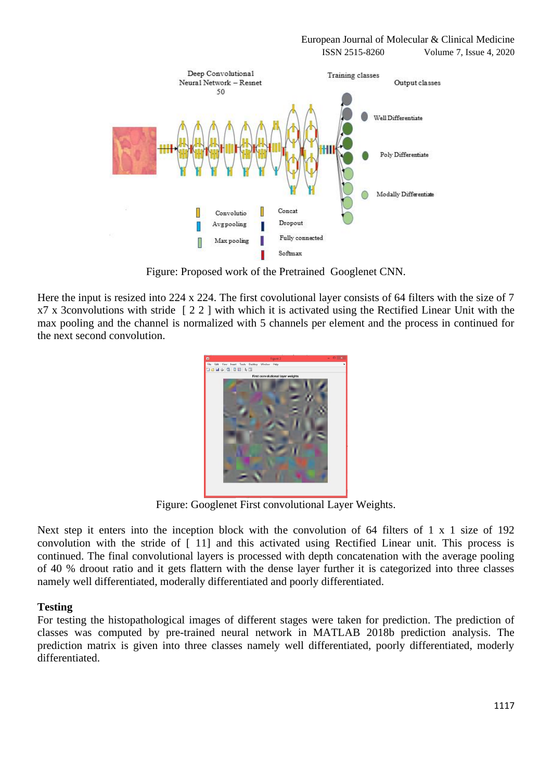

Figure: Proposed work of the Pretrained Googlenet CNN.

Here the input is resized into 224 x 224. The first covolutional layer consists of 64 filters with the size of 7  $x7 \times$  3convolutions with stride  $\left[ 2 \times 2 \right]$  with which it is activated using the Rectified Linear Unit with the max pooling and the channel is normalized with 5 channels per element and the process in continued for the next second convolution.



Figure: Googlenet First convolutional Layer Weights.

Next step it enters into the inception block with the convolution of 64 filters of 1 x 1 size of 192 convolution with the stride of [ 11] and this activated using Rectified Linear unit. This process is continued. The final convolutional layers is processed with depth concatenation with the average pooling of 40 % droout ratio and it gets flattern with the dense layer further it is categorized into three classes namely well differentiated, moderally differentiated and poorly differentiated.

# **Testing**

For testing the histopathological images of different stages were taken for prediction. The prediction of classes was computed by pre-trained neural network in MATLAB 2018b prediction analysis. The prediction matrix is given into three classes namely well differentiated, poorly differentiated, moderly differentiated.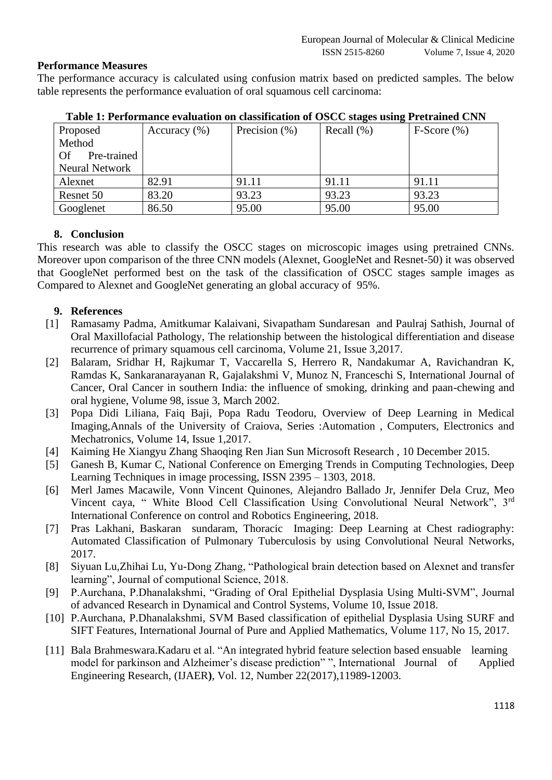# **Performance Measures**

The performance accuracy is calculated using confusion matrix based on predicted samples. The below table represents the performance evaluation of oral squamous cell carcinoma:

| Proposed            | Accuracy $(\%)$ | Precision $(\%)$ | Recall $(\%)$ | $F-Score(%)$ |
|---------------------|-----------------|------------------|---------------|--------------|
| Method              |                 |                  |               |              |
| - Of<br>Pre-trained |                 |                  |               |              |
| Neural Network      |                 |                  |               |              |
| Alexnet             | 82.91           | 91.11            | 91.11         | 91.11        |
| Resnet 50           | 83.20           | 93.23            | 93.23         | 93.23        |
| Googlenet           | 86.50           | 95.00            | 95.00         | 95.00        |

**Table 1: Performance evaluation on classification of OSCC stages using Pretrained CNN**

# **8. Conclusion**

This research was able to classify the OSCC stages on microscopic images using pretrained CNNs. Moreover upon comparison of the three CNN models (Alexnet, GoogleNet and Resnet-50) it was observed that GoogleNet performed best on the task of the classification of OSCC stages sample images as Compared to Alexnet and GoogleNet generating an global accuracy of 95%.

# **9. References**

- [1] Ramasamy Padma, Amitkumar Kalaivani, Sivapatham Sundaresan and Paulraj Sathish, Journal of Oral Maxillofacial Pathology, The relationship between the histological differentiation and disease recurrence of primary squamous cell carcinoma, Volume 21, Issue 3,2017.
- [2] Balaram, Sridhar H, Rajkumar T, Vaccarella S, Herrero R, Nandakumar A, Ravichandran K, Ramdas K, Sankaranarayanan R, Gajalakshmi V, Munoz N, Franceschi S, International Journal of Cancer, Oral Cancer in southern India: the influence of smoking, drinking and paan-chewing and oral hygiene, Volume 98, issue 3, March 2002.
- [3] Popa Didi Liliana, Faiq Baji, Popa Radu Teodoru, Overview of Deep Learning in Medical Imaging,Annals of the University of Craiova, Series :Automation , Computers, Electronics and Mechatronics, Volume 14, Issue 1,2017.
- [4] Kaiming He Xiangyu Zhang Shaoqing Ren Jian Sun Microsoft Research , 10 December 2015.
- [5] Ganesh B, Kumar C, National Conference on Emerging Trends in Computing Technologies, Deep Learning Techniques in image processing, ISSN 2395 – 1303, 2018.
- [6] Merl James Macawile, Vonn Vincent Quinones, Alejandro Ballado Jr, Jennifer Dela Cruz, Meo Vincent caya, " White Blood Cell Classification Using Convolutional Neural Network", 3rd International Conference on control and Robotics Engineering, 2018.
- [7] Pras Lakhani, Baskaran sundaram, Thoracic Imaging: Deep Learning at Chest radiography: Automated Classification of Pulmonary Tuberculosis by using Convolutional Neural Networks, 2017.
- [8] Siyuan Lu,Zhihai Lu, Yu-Dong Zhang, "Pathological brain detection based on Alexnet and transfer learning", Journal of computional Science, 2018.
- [9] P.Aurchana, P.Dhanalakshmi, "Grading of Oral Epithelial Dysplasia Using Multi-SVM", Journal of advanced Research in Dynamical and Control Systems, Volume 10, Issue 2018.
- [10] P.Aurchana, P.Dhanalakshmi, SVM Based classification of epithelial Dysplasia Using SURF and SIFT Features, International Journal of Pure and Applied Mathematics, Volume 117, No 15, 2017.
- [11] Bala Brahmeswara. Kadaru et al. "An integrated hybrid feature selection based ensuable learning model for parkinson and Alzheimer's disease prediction" ", International Journal of Applied Engineering Research, (IJAER**)**, Vol. 12, Number 22(2017),11989-12003.